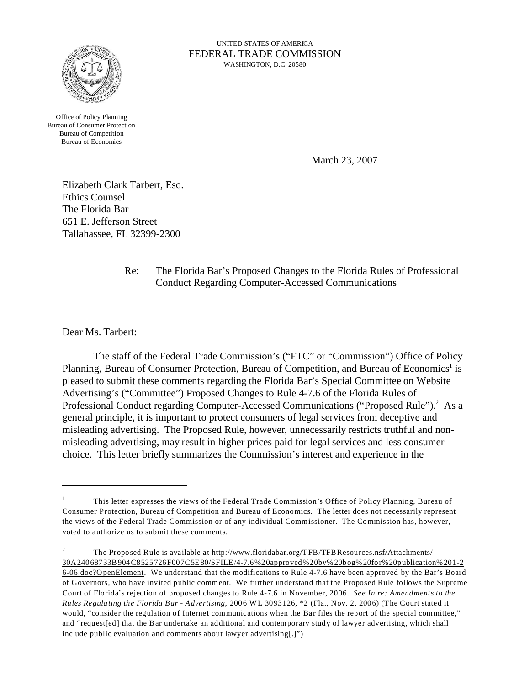

UNITED STATES OF AMERICA FEDERAL TRADE COMMISSION WASHINGTON, D.C. 20580

Office of Policy Planning Bureau of Consumer Protection Bureau of Competition Bureau of Economics

March 23, 2007

Elizabeth Clark Tarbert, Esq. Ethics Counsel The Florida Bar 651 E. Jefferson Street Tallahassee, FL 32399-2300

## Re: The Florida Bar's Proposed Changes to the Florida Rules of Professional Conduct Regarding Computer-Accessed Communications

Dear Ms. Tarbert:

The staff of the Federal Trade Commission's ("FTC" or "Commission") Office of Policy Planning, Bureau of Consumer Protection, Bureau of Competition, and Bureau of Economics<sup>1</sup> is pleased to submit these comments regarding the Florida Bar's Special Committee on Website Advertising's ("Committee") Proposed Changes to Rule 4-7.6 of the Florida Rules of Professional Conduct regarding Computer-Accessed Communications ("Proposed Rule").<sup>2</sup> As a general principle, it is important to protect consumers of legal services from deceptive and misleading advertising. The Proposed Rule, however, unnecessarily restricts truthful and nonmisleading advertising, may result in higher prices paid for legal services and less consumer choice. This letter briefly summarizes the Commission's interest and experience in the

<sup>1</sup> This letter expresses the views of the Federal Trade Commission's Office of Policy Planning, Bureau of Consumer Protection, Bureau of Competition and Bureau of Economics. The letter does not necessarily represent the views of the Federal Trade Commission or of any individual Commissioner. The Commission has, however, voted to authorize us to submit these comments.

<sup>&</sup>lt;sup>2</sup> The Proposed Rule is available at<http://www.floridabar.org/TFB/TFBResources.nsf>/Attachments/

<sup>30</sup>A24068733B904C8525726F007C5E80/\$FILE/4-7.6%20approved%20by% 20bog%20for%20publication%201-2 6-06.doc?OpenElement. We understand that the modifications to Rule 4-7.6 have been approved by the Bar's Board of Governors, who have invited public comment. We further understand that the Proposed Rule follows the Supreme Court of Florida's rejection of proposed changes to Rule 4-7.6 in November, 2006. *See In re: Amendments to the Rules Regulating the Florida Bar - Advertising,* 2006 WL 3093126, \*2 (Fla., Nov. 2, 2006) (The Court stated it would, "consider the regulation of Internet communications when the Bar files the report of the special committee," and "request[ed] that the Bar undertake an additional and contemporary study of lawyer advertising, which shall include public evaluation and comments about lawyer advertising[.]")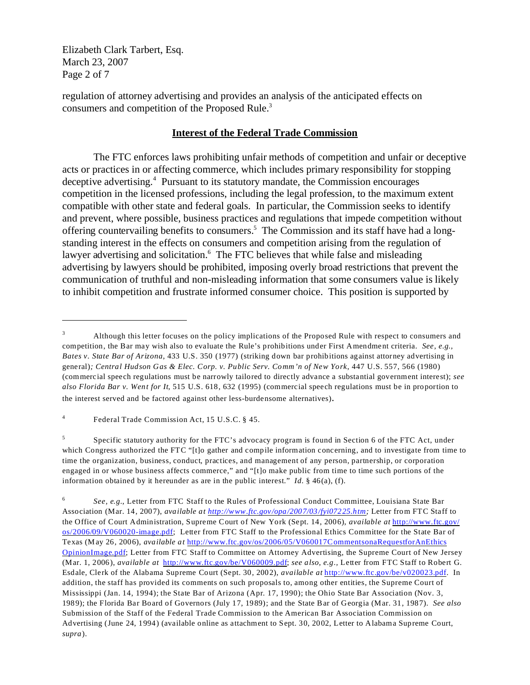Elizabeth Clark Tarbert, Esq. March 23, 2007 Page 2 of 7

regulation of attorney advertising and provides an analysis of the anticipated effects on consumers and competition of the Proposed Rule.<sup>3</sup>

## **Interest of the Federal Trade Commission**

The FTC enforces laws prohibiting unfair methods of competition and unfair or deceptive acts or practices in or affecting commerce, which includes primary responsibility for stopping deceptive advertising.<sup>4</sup> Pursuant to its statutory mandate, the Commission encourages competition in the licensed professions, including the legal profession, to the maximum extent compatible with other state and federal goals. In particular, the Commission seeks to identify and prevent, where possible, business practices and regulations that impede competition without offering countervailing benefits to consumers.<sup>5</sup> The Commission and its staff have had a longstanding interest in the effects on consumers and competition arising from the regulation of lawyer advertising and solicitation.<sup>6</sup> The FTC believes that while false and misleading advertising by lawyers should be prohibited, imposing overly broad restrictions that prevent the communication of truthful and non-misleading information that some consumers value is likely to inhibit competition and frustrate informed consumer choice. This position is supported by

<sup>&</sup>lt;sup>3</sup> Although this letter focuses on the policy implications of the Proposed Rule with respect to consumers and competition, the Bar may wish also to evaluate the Rule's prohibitions under First Amendment criteria. *See, e.g., Bates v. State Bar of Arizona*, 433 U.S. 350 (1977) (striking down bar prohibitions against attorney advertising in general)*; Central Hudson Gas & Elec. Corp. v. Public Serv. Comm'n of New York*, 447 U.S. 557, 566 (1980) (commercial speech regulations must be narrowly tailored to directly advance a substantial government interest); *see also Florida Bar v. Went for It*, 515 U.S. 618, 632 (1995) (commercial speech regulations must be in proportion to the interest served and be factored against other less-burdensome alternatives).

<sup>4</sup> Federal Trade Commission Act, 15 U.S.C. § 45.

<sup>5</sup> Specific statutory authority for the FTC's advocacy program is found in Section 6 of the FTC Act, under which Congress authorized the FTC "[t]o gather and compile information concerning, and to investigate from time to time the organization, business, conduct, practices, and management of any person, partnership, or corporation engaged in or whose business affects commerce," and "[t]o make public from time to time such portions of the information obtained by it hereunder as are in the public interest." *Id.*  $\S$  46(a), (f).

<sup>6</sup> *See, e.g.*, Letter from FTC Staff to the Rules of Professional Conduct Committee, Louisiana State Bar Association (Mar. 14, 2007), *available at<http://www.ftc.gov/opa/2007/03/fyi07225.htm>;* Letter from FTC Staff to the Office of Court Administration, Supreme Court of New York (Sept. 14, 2006), *available at* [http://www.ftc.gov/](http://www.ftc.gov/os/2006/09/V060020-image.pdf) [os/2006/09/V060020-image.pdf](http://www.ftc.gov/os/2006/09/V060020-image.pdf); Letter from FTC Staff to the Professional Ethics Committee for the State Bar of Texas (May 26, 2006), *available at* <http://www.ftc.gov/os/>2006/05/V060017CommentsonaRequestforAnEthics OpinionImage.pdf; Letter from FTC Staff to Committee on Attorney Advertising, the Supreme Court of New Jersey (Mar. 1, 2006), *available at* <http://www.ftc.gov/be/V060009.pdf>; *see also, e.g.,* Letter from FTC Staff to Robert G. Esdale, Clerk of the Alabama Supreme Court (Sept. 30, 2002), *available at* <http://www.ftc.gov/be/v020023.pdf>. In addition, the staff has provided its comments on such proposals to, among other entities, the Supreme Court of Mississippi (Jan. 14, 1994); the State Bar of Arizona (Apr. 17, 1990); the Ohio State Bar Association (Nov. 3, 1989); the Florida Bar Board of Governors (July 17, 1989); and the State Bar of Georgia (Mar. 31, 1987). *See also* Submission of the Staff of the Federal Trade Commission to the American Bar Association Commission on Advertising (June 24, 1994) (available online as attachment to Sept. 30, 2002, Letter to Alabama Supreme Court, *supra*).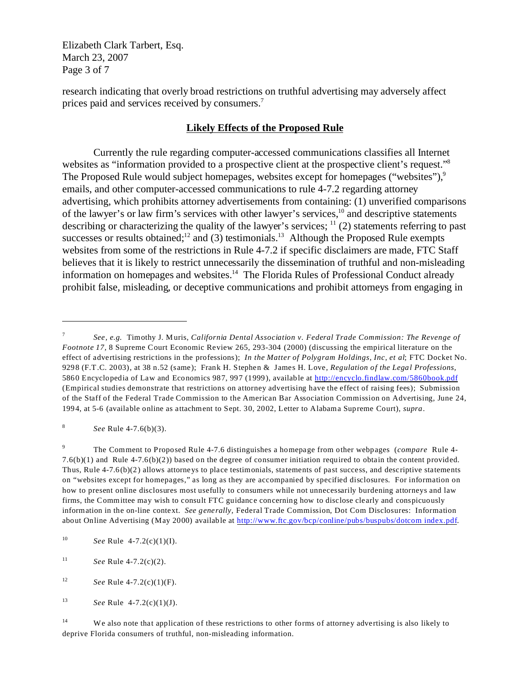Elizabeth Clark Tarbert, Esq. March 23, 2007 Page 3 of 7

research indicating that overly broad restrictions on truthful advertising may adversely affect prices paid and services received by consumers.<sup>7</sup>

## **Likely Effects of the Proposed Rule**

Currently the rule regarding computer-accessed communications classifies all Internet websites as "information provided to a prospective client at the prospective client's request."<sup>8</sup> The Proposed Rule would subject homepages, websites except for homepages ("websites"),<sup>9</sup> emails, and other computer-accessed communications to rule 4-7.2 regarding attorney advertising, which prohibits attorney advertisements from containing: (1) unverified comparisons of the lawyer's or law firm's services with other lawyer's services,<sup>10</sup> and descriptive statements describing or characterizing the quality of the lawyer's services;  $\frac{11}{2}$  (2) statements referring to past successes or results obtained;<sup>12</sup> and (3) testimonials.<sup>13</sup> Although the Proposed Rule exempts websites from some of the restrictions in Rule 4-7.2 if specific disclaimers are made, FTC Staff believes that it is likely to restrict unnecessarily the dissemination of truthful and non-misleading information on homepages and websites.<sup>14</sup> The Florida Rules of Professional Conduct already prohibit false, misleading, or deceptive communications and prohibit attorneys from engaging in

8 *See* Rule 4-7.6(b)(3).

<sup>9</sup> The Comment to Proposed Rule 4-7.6 distinguishes a homepage from other webpages (*compare* Rule 4- 7.6(b)(1) and Rule 4-7.6(b)(2)) based on the degree of consumer initiation required to obtain the content provided. Thus, Rule 4-7.6(b)(2) allows attorneys to place testimonials, statements of past success, and descriptive statements on "websites except for homepages," as long as they are accompanied by specified disclosures. For information on how to present online disclosures most usefully to consumers while not unnecessarily burdening attorneys and law firms, the Committee may wish to consult FTC guidance concerning how to disclose clearly and conspicuously information in the on-line context. *See generally,* Federal Trade Commission, Dot Com Disclosures: Information about Online Advertising (May 2000) available at [http://www.ftc.gov/bcp/conline/pubs/buspubs/dotcom index.pdf](http://www.ftc.gov/bcp/conline/pubs/buspubs/dotcom/index.pdf).

<sup>7</sup> *See, e.g.* Timothy J. Muris, *California Dental Association v. Federal Trade Commission: The Revenge of Footnote 17,* 8 Supreme Court Economic Review 265, 293-304 (2000) (discussing the empirical literature on the effect of advertising restrictions in the professions); *In the Matter of Polygram Holdings, Inc, et al*; FTC Docket No. 9298 (F.T.C. 2003), at 38 n.52 (same); Frank H. Stephen & James H. Love, *Regulation of the Legal Professions,* 5860 Encyclopedia of Law and Economics 987, 997 (1999), available at<http://encyclo.findlaw.com/5860book.pdf> (Empirical studies demonstrate that restrictions on attorney advertising have the effect of raising fees); Submission of the Staff of the Federal Trade Commission to the American Bar Association Commission on Advertising, June 24, 1994, at 5-6 (available online as attachment to Sept. 30, 2002, Letter to Alabama Supreme Court), *supra*.

<sup>10</sup> *See* Rule 4-7.2(c)(1)(I).

<sup>&</sup>lt;sup>11</sup> *See* Rule 4-7.2(c)(2).

<sup>12</sup> *See* Rule 4-7.2(c)(1)(F).

<sup>13</sup> *See* Rule 4-7.2(c)(1)(J).

<sup>&</sup>lt;sup>14</sup> We also note that application of these restrictions to other forms of attorney advertising is also likely to deprive Florida consumers of truthful, non-misleading information.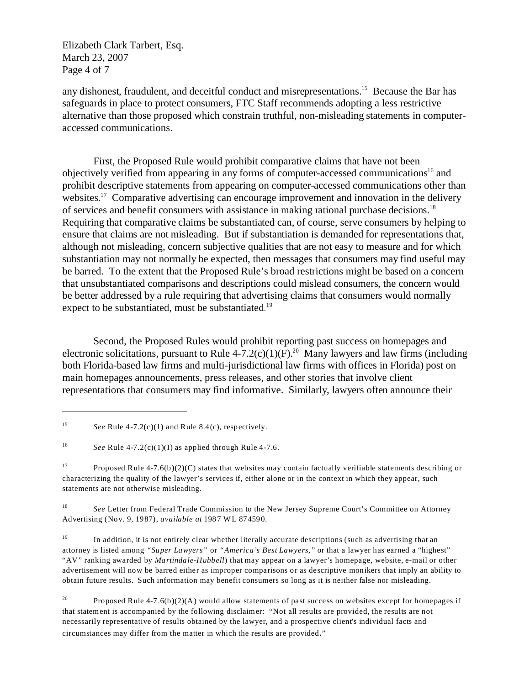Elizabeth Clark Tarbert, Esq. March 23, 2007 Page 4 of 7

any dishonest, fraudulent, and deceitful conduct and misrepresentations.<sup>15</sup> Because the Bar has safeguards in place to protect consumers, FTC Staff recommends adopting a less restrictive alternative than those proposed which constrain truthful, non-misleading statements in computeraccessed communications.

First, the Proposed Rule would prohibit comparative claims that have not been objectively verified from appearing in any forms of computer-accessed communications<sup>16</sup> and prohibit descriptive statements from appearing on computer-accessed communications other than websites.<sup>17</sup> Comparative advertising can encourage improvement and innovation in the delivery of services and benefit consumers with assistance in making rational purchase decisions.<sup>18</sup> Requiring that comparative claims be substantiated can, of course, serve consumers by helping to ensure that claims are not misleading. But if substantiation is demanded for representations that, although not misleading, concern subjective qualities that are not easy to measure and for which substantiation may not normally be expected, then messages that consumers may find useful may be barred. To the extent that the Proposed Rule's broad restrictions might be based on a concern that unsubstantiated comparisons and descriptions could mislead consumers, the concern would be better addressed by a rule requiring that advertising claims that consumers would normally expect to be substantiated, must be substantiated.<sup>19</sup>

Second, the Proposed Rules would prohibit reporting past success on homepages and electronic solicitations, pursuant to Rule 4-7.2(c)(1)(F).<sup>20</sup> Many lawyers and law firms (including both Florida-based law firms and multi-jurisdictional law firms with offices in Florida) post on main homepages announcements, press releases, and other stories that involve client representations that consumers may find informative. Similarly, lawyers often announce their

<sup>15</sup> *See* Rule 4-7.2(c)(1) and Rule 8.4(c), respectively.

<sup>&</sup>lt;sup>16</sup> *See* Rule 4-7.2(c)(1)(I) as applied through Rule 4-7.6.

<sup>&</sup>lt;sup>17</sup> Proposed Rule 4-7.6(b)(2)(C) states that websites may contain factually verifiable statements describing or characterizing the quality of the lawyer's services if, either alone or in the context in which they appear, such statements are not otherwise misleading.

<sup>18</sup> *See* Letter from Federal Trade Commission to the New Jersey Supreme Court's Committee on Attorney Advertising (Nov. 9, 1987), *available at* 1987 WL 874590.

<sup>&</sup>lt;sup>19</sup> In addition, it is not entirely clear whether literally accurate descriptions (such as advertising that an attorney is listed among *"Super Lawyers"* or *"America's Best Lawyers,"* or that a lawyer has earned a "highest" "AV" ranking awarded by *Martindale-Hubbell*) that may appear on a lawyer's homepage, website, e-mail or other advertisement will now be barred either as improper comparisons or as descriptive monikers that imply an ability to obtain future results. Such information may benefit consumers so long as it is neither false nor misleading.

<sup>&</sup>lt;sup>20</sup> Proposed Rule 4-7.6(b)(2)(A) would allow statements of past success on websites except for homepages if that statement is accompanied by the following disclaimer: "Not all results are provided, the results are not necessarily representative of results obtained by the lawyer, and a prospective client's individual facts and circumstances may differ from the matter in which the results are provided."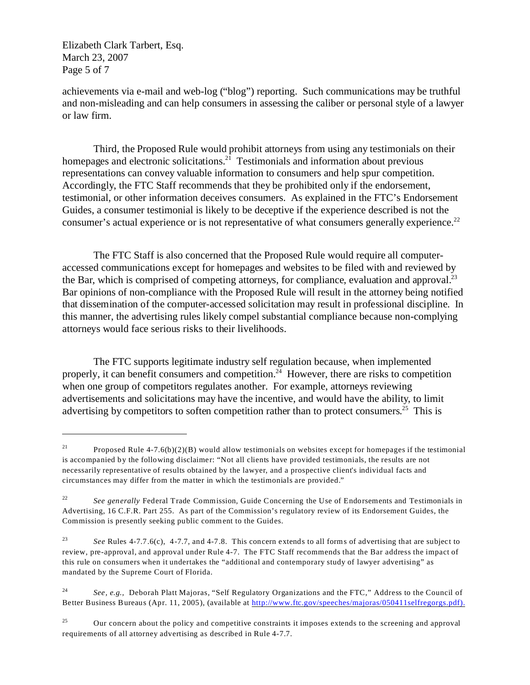Elizabeth Clark Tarbert, Esq. March 23, 2007 Page 5 of 7

achievements via e-mail and web-log ("blog") reporting. Such communications may be truthful and non-misleading and can help consumers in assessing the caliber or personal style of a lawyer or law firm.

Third, the Proposed Rule would prohibit attorneys from using any testimonials on their homepages and electronic solicitations.<sup>21</sup> Testimonials and information about previous representations can convey valuable information to consumers and help spur competition. Accordingly, the FTC Staff recommends that they be prohibited only if the endorsement, testimonial, or other information deceives consumers. As explained in the FTC's Endorsement Guides, a consumer testimonial is likely to be deceptive if the experience described is not the consumer's actual experience or is not representative of what consumers generally experience.<sup>22</sup>

The FTC Staff is also concerned that the Proposed Rule would require all computeraccessed communications except for homepages and websites to be filed with and reviewed by the Bar, which is comprised of competing attorneys, for compliance, evaluation and approval.<sup>23</sup> Bar opinions of non-compliance with the Proposed Rule will result in the attorney being notified that dissemination of the computer-accessed solicitation may result in professional discipline. In this manner, the advertising rules likely compel substantial compliance because non-complying attorneys would face serious risks to their livelihoods.

The FTC supports legitimate industry self regulation because, when implemented properly, it can benefit consumers and competition.<sup>24</sup> However, there are risks to competition when one group of competitors regulates another. For example, attorneys reviewing advertisements and solicitations may have the incentive, and would have the ability, to limit advertising by competitors to soften competition rather than to protect consumers.<sup>25</sup> This is

<sup>&</sup>lt;sup>21</sup> Proposed Rule 4-7.6(b)(2)(B) would allow testimonials on websites except for homepages if the testimonial is accompanied by the following disclaimer: "Not all clients have provided testimonials, the results are not necessarily representative of results obtained by the lawyer, and a prospective client's individual facts and circumstances may differ from the matter in which the testimonials are provided."

<sup>&</sup>lt;sup>22</sup> See generally Federal Trade Commission, Guide Concerning the Use of Endorsements and Testimonials in Advertising, 16 C.F.R. Part 255. As part of the Commission's regulatory review of its Endorsement Guides, the Commission is presently seeking public comment to the Guides.

<sup>23</sup> *See* Rules 4-7.7.6(c), 4-7.7, and 4-7.8. This concern extends to all forms of advertising that are subject to review, pre-approval, and approval under Rule 4-7. The FTC Staff recommends that the Bar address the impact of this rule on consumers when it undertakes the "additional and contemporary study of lawyer advertising" as mandated by the Supreme Court of Florida.

<sup>24</sup> *See, e.g.,* Deborah Platt Majoras, "Self Regulatory Organizations and the FTC," Address to the Council of Better Business Bureaus (Apr. 11, 2005), (available at [http://www.ftc.gov/speeches/majoras/050411selfregorgs.pdf\).](http://www.ftc.gov/speeches/majoras/050411selfregorgs.pdf).)

 $^{25}$  Our concern about the policy and competitive constraints it imposes extends to the screening and approval requirements of all attorney advertising as described in Rule 4-7.7.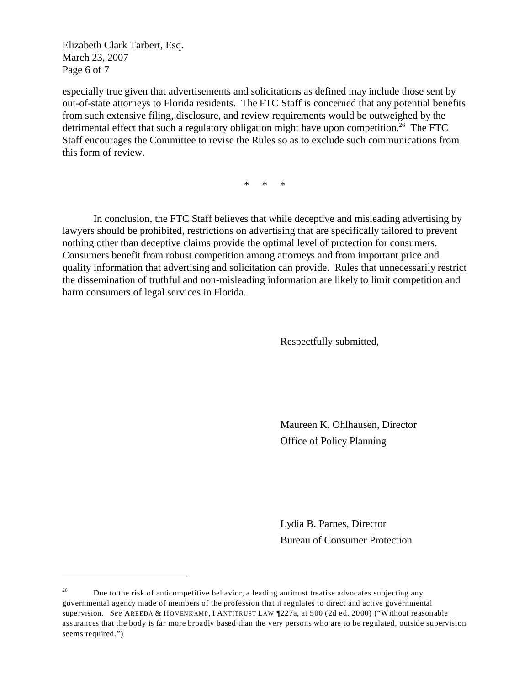Elizabeth Clark Tarbert, Esq. March 23, 2007 Page 6 of 7

especially true given that advertisements and solicitations as defined may include those sent by out-of-state attorneys to Florida residents. The FTC Staff is concerned that any potential benefits from such extensive filing, disclosure, and review requirements would be outweighed by the detrimental effect that such a regulatory obligation might have upon competition.<sup>26</sup> The FTC Staff encourages the Committee to revise the Rules so as to exclude such communications from this form of review.

\* \* \*

In conclusion, the FTC Staff believes that while deceptive and misleading advertising by lawyers should be prohibited, restrictions on advertising that are specifically tailored to prevent nothing other than deceptive claims provide the optimal level of protection for consumers. Consumers benefit from robust competition among attorneys and from important price and quality information that advertising and solicitation can provide. Rules that unnecessarily restrict the dissemination of truthful and non-misleading information are likely to limit competition and harm consumers of legal services in Florida.

Respectfully submitted,

Maureen K. Ohlhausen, Director Office of Policy Planning

Lydia B. Parnes, Director Bureau of Consumer Protection

<sup>&</sup>lt;sup>26</sup> Due to the risk of anticompetitive behavior, a leading antitrust treatise advocates subjecting any governmental agency made of members of the profession that it regulates to direct and active governmental supervision. *See* AREEDA & HOVENKAMP, I ANTITRUST LAW 1227a, at 500 (2d ed. 2000) ("Without reasonable assurances that the body is far more broadly based than the very persons who are to be regulated, outside supervision seems required.")